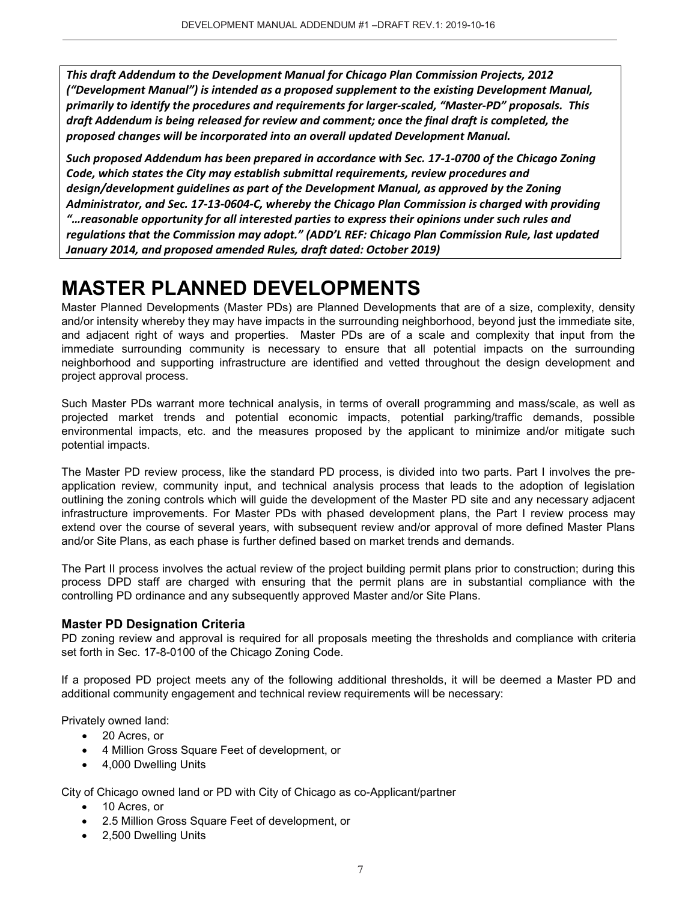*This draft Addendum to the Development Manual for Chicago Plan Commission Projects, 2012 ("Development Manual") is intended as a proposed supplement to the existing Development Manual, primarily to identify the procedures and requirements for larger-scaled, "Master-PD" proposals. This draft Addendum is being released for review and comment; once the final draft is completed, the proposed changes will be incorporated into an overall updated Development Manual.* 

*Such proposed Addendum has been prepared in accordance with Sec. 17-1-0700 of the Chicago Zoning Code, which states the City may establish submittal requirements, review procedures and design/development guidelines as part of the Development Manual, as approved by the Zoning Administrator, and Sec. 17-13-0604-C, whereby the Chicago Plan Commission is charged with providing "…reasonable opportunity for all interested parties to express their opinions under such rules and regulations that the Commission may adopt." (ADD'L REF: Chicago Plan Commission Rule, last updated January 2014, and proposed amended Rules, draft dated: October 2019)*

# **MASTER PLANNED DEVELOPMENTS**

Master Planned Developments (Master PDs) are Planned Developments that are of a size, complexity, density and/or intensity whereby they may have impacts in the surrounding neighborhood, beyond just the immediate site, and adjacent right of ways and properties. Master PDs are of a scale and complexity that input from the immediate surrounding community is necessary to ensure that all potential impacts on the surrounding neighborhood and supporting infrastructure are identified and vetted throughout the design development and project approval process.

Such Master PDs warrant more technical analysis, in terms of overall programming and mass/scale, as well as projected market trends and potential economic impacts, potential parking/traffic demands, possible environmental impacts, etc. and the measures proposed by the applicant to minimize and/or mitigate such potential impacts.

The Master PD review process, like the standard PD process, is divided into two parts. Part I involves the preapplication review, community input, and technical analysis process that leads to the adoption of legislation outlining the zoning controls which will guide the development of the Master PD site and any necessary adjacent infrastructure improvements. For Master PDs with phased development plans, the Part I review process may extend over the course of several years, with subsequent review and/or approval of more defined Master Plans and/or Site Plans, as each phase is further defined based on market trends and demands.

The Part II process involves the actual review of the project building permit plans prior to construction; during this process DPD staff are charged with ensuring that the permit plans are in substantial compliance with the controlling PD ordinance and any subsequently approved Master and/or Site Plans.

# **Master PD Designation Criteria**

PD zoning review and approval is required for all proposals meeting the thresholds and compliance with criteria set forth in Sec. 17-8-0100 of the Chicago Zoning Code.

If a proposed PD project meets any of the following additional thresholds, it will be deemed a Master PD and additional community engagement and technical review requirements will be necessary:

Privately owned land:

- 20 Acres, or
- 4 Million Gross Square Feet of development, or
- 4,000 Dwelling Units

City of Chicago owned land or PD with City of Chicago as co-Applicant/partner

- 10 Acres, or
- 2.5 Million Gross Square Feet of development, or
- 2,500 Dwelling Units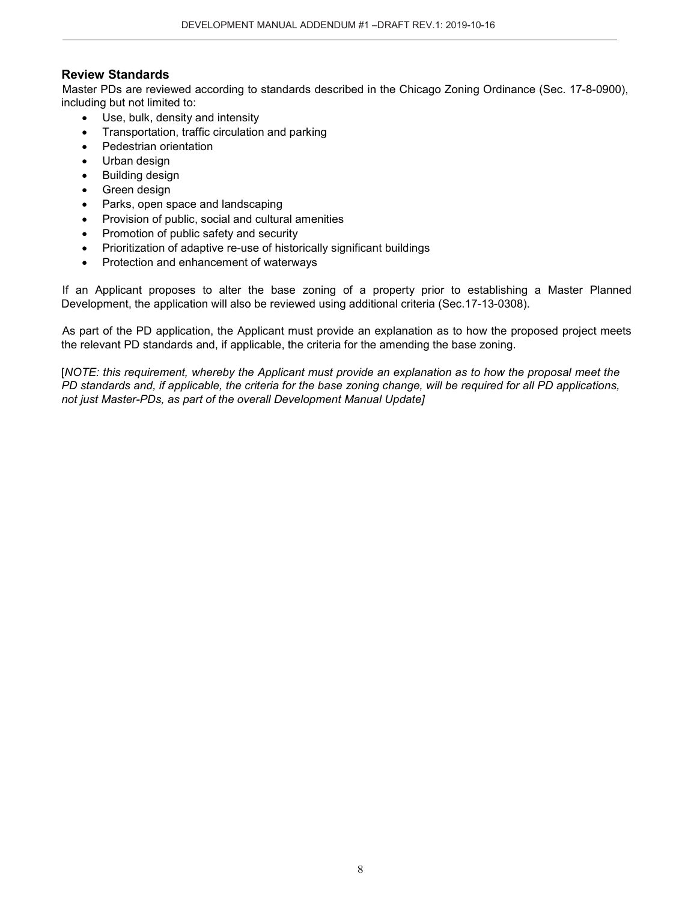# **Review Standards**

Master PDs are reviewed according to standards described in the Chicago Zoning Ordinance (Sec. 17-8-0900), including but not limited to:

- Use, bulk, density and intensity
- Transportation, traffic circulation and parking
- Pedestrian orientation
- Urban design
- Building design
- Green design
- Parks, open space and landscaping
- Provision of public, social and cultural amenities
- Promotion of public safety and security
- Prioritization of adaptive re-use of historically significant buildings
- Protection and enhancement of waterways

If an Applicant proposes to alter the base zoning of a property prior to establishing a Master Planned Development, the application will also be reviewed using additional criteria (Sec.17-13-0308).

As part of the PD application, the Applicant must provide an explanation as to how the proposed project meets the relevant PD standards and, if applicable, the criteria for the amending the base zoning.

[*NOTE: this requirement, whereby the Applicant must provide an explanation as to how the proposal meet the PD standards and, if applicable, the criteria for the base zoning change, will be required for all PD applications, not just Master-PDs, as part of the overall Development Manual Update]*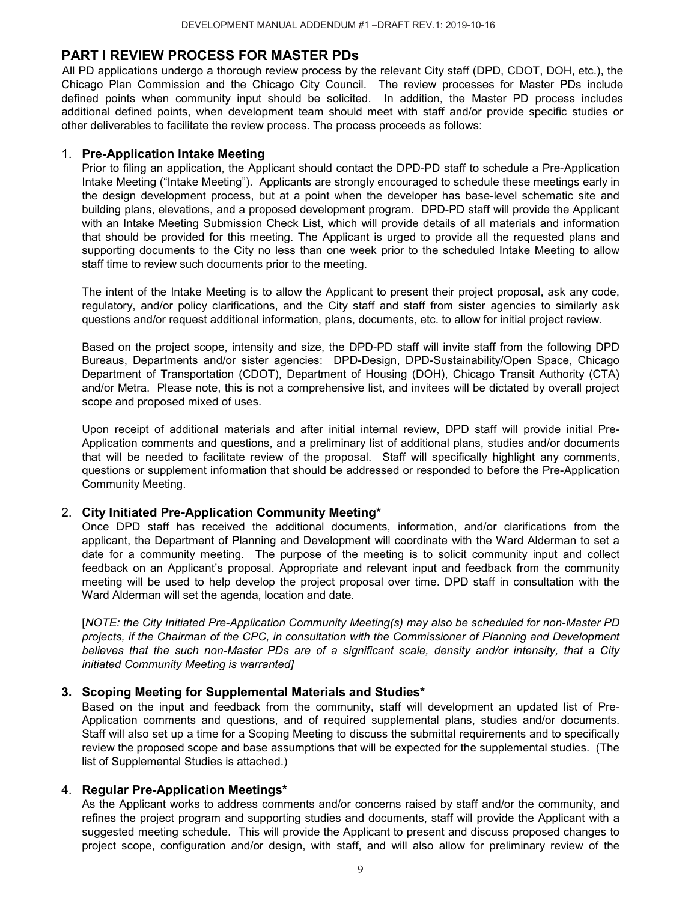# **PART I REVIEW PROCESS FOR MASTER PDs**

All PD applications undergo a thorough review process by the relevant City staff (DPD, CDOT, DOH, etc.), the Chicago Plan Commission and the Chicago City Council. The review processes for Master PDs include defined points when community input should be solicited. In addition, the Master PD process includes additional defined points, when development team should meet with staff and/or provide specific studies or other deliverables to facilitate the review process. The process proceeds as follows:

#### 1. **Pre-Application Intake Meeting**

Prior to filing an application, the Applicant should contact the DPD-PD staff to schedule a Pre-Application Intake Meeting ("Intake Meeting"). Applicants are strongly encouraged to schedule these meetings early in the design development process, but at a point when the developer has base-level schematic site and building plans, elevations, and a proposed development program. DPD-PD staff will provide the Applicant with an Intake Meeting Submission Check List, which will provide details of all materials and information that should be provided for this meeting. The Applicant is urged to provide all the requested plans and supporting documents to the City no less than one week prior to the scheduled Intake Meeting to allow staff time to review such documents prior to the meeting.

The intent of the Intake Meeting is to allow the Applicant to present their project proposal, ask any code, regulatory, and/or policy clarifications, and the City staff and staff from sister agencies to similarly ask questions and/or request additional information, plans, documents, etc. to allow for initial project review.

Based on the project scope, intensity and size, the DPD-PD staff will invite staff from the following DPD Bureaus, Departments and/or sister agencies: DPD-Design, DPD-Sustainability/Open Space, Chicago Department of Transportation (CDOT), Department of Housing (DOH), Chicago Transit Authority (CTA) and/or Metra. Please note, this is not a comprehensive list, and invitees will be dictated by overall project scope and proposed mixed of uses.

Upon receipt of additional materials and after initial internal review, DPD staff will provide initial Pre-Application comments and questions, and a preliminary list of additional plans, studies and/or documents that will be needed to facilitate review of the proposal. Staff will specifically highlight any comments, questions or supplement information that should be addressed or responded to before the Pre-Application Community Meeting.

# 2. **City Initiated Pre-Application Community Meeting\***

Once DPD staff has received the additional documents, information, and/or clarifications from the applicant, the Department of Planning and Development will coordinate with the Ward Alderman to set a date for a community meeting. The purpose of the meeting is to solicit community input and collect feedback on an Applicant's proposal. Appropriate and relevant input and feedback from the community meeting will be used to help develop the project proposal over time. DPD staff in consultation with the Ward Alderman will set the agenda, location and date.

[*NOTE: the City Initiated Pre-Application Community Meeting(s) may also be scheduled for non-Master PD projects, if the Chairman of the CPC, in consultation with the Commissioner of Planning and Development believes that the such non-Master PDs are of a significant scale, density and/or intensity, that a City initiated Community Meeting is warranted]*

#### **3. Scoping Meeting for Supplemental Materials and Studies\***

Based on the input and feedback from the community, staff will development an updated list of Pre-Application comments and questions, and of required supplemental plans, studies and/or documents. Staff will also set up a time for a Scoping Meeting to discuss the submittal requirements and to specifically review the proposed scope and base assumptions that will be expected for the supplemental studies. (The list of Supplemental Studies is attached.)

#### 4. **Regular Pre-Application Meetings\***

As the Applicant works to address comments and/or concerns raised by staff and/or the community, and refines the project program and supporting studies and documents, staff will provide the Applicant with a suggested meeting schedule. This will provide the Applicant to present and discuss proposed changes to project scope, configuration and/or design, with staff, and will also allow for preliminary review of the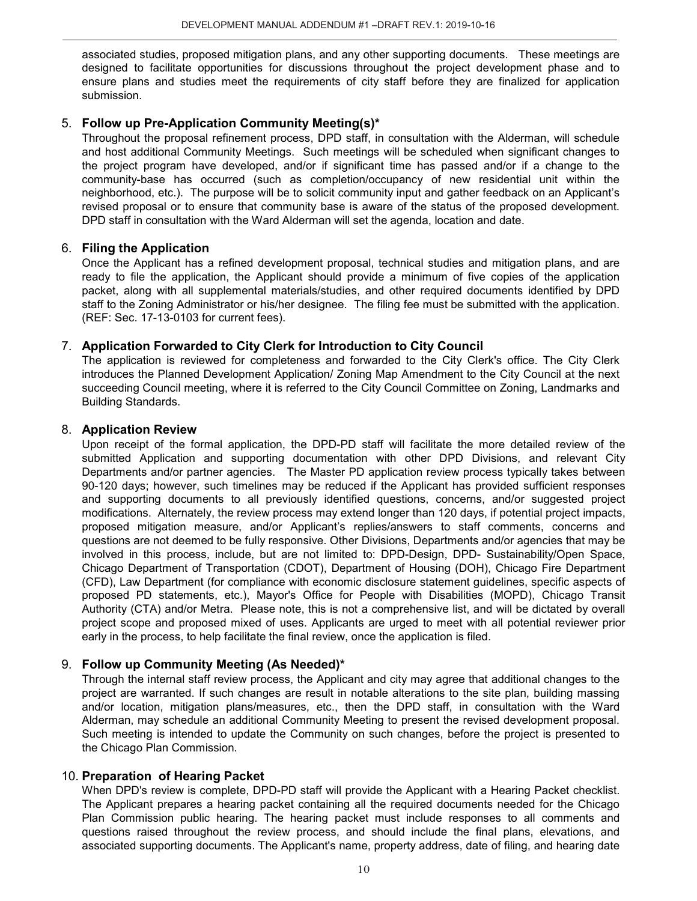associated studies, proposed mitigation plans, and any other supporting documents. These meetings are designed to facilitate opportunities for discussions throughout the project development phase and to ensure plans and studies meet the requirements of city staff before they are finalized for application submission.

## 5. **Follow up Pre-Application Community Meeting(s)\***

Throughout the proposal refinement process, DPD staff, in consultation with the Alderman, will schedule and host additional Community Meetings. Such meetings will be scheduled when significant changes to the project program have developed, and/or if significant time has passed and/or if a change to the community-base has occurred (such as completion/occupancy of new residential unit within the neighborhood, etc.). The purpose will be to solicit community input and gather feedback on an Applicant's revised proposal or to ensure that community base is aware of the status of the proposed development. DPD staff in consultation with the Ward Alderman will set the agenda, location and date.

# 6. **Filing the Application**

Once the Applicant has a refined development proposal, technical studies and mitigation plans, and are ready to file the application, the Applicant should provide a minimum of five copies of the application packet, along with all supplemental materials/studies, and other required documents identified by DPD staff to the Zoning Administrator or his/her designee. The filing fee must be submitted with the application. (REF: Sec. 17-13-0103 for current fees).

# 7. **Application Forwarded to City Clerk for Introduction to City Council**

The application is reviewed for completeness and forwarded to the City Clerk's office. The City Clerk introduces the Planned Development Application/ Zoning Map Amendment to the City Council at the next succeeding Council meeting, where it is referred to the City Council Committee on Zoning, Landmarks and Building Standards.

#### 8. **Application Review**

Upon receipt of the formal application, the DPD-PD staff will facilitate the more detailed review of the submitted Application and supporting documentation with other DPD Divisions, and relevant City Departments and/or partner agencies. The Master PD application review process typically takes between 90-120 days; however, such timelines may be reduced if the Applicant has provided sufficient responses and supporting documents to all previously identified questions, concerns, and/or suggested project modifications. Alternately, the review process may extend longer than 120 days, if potential project impacts, proposed mitigation measure, and/or Applicant's replies/answers to staff comments, concerns and questions are not deemed to be fully responsive. Other Divisions, Departments and/or agencies that may be involved in this process, include, but are not limited to: DPD-Design, DPD- Sustainability/Open Space, Chicago Department of Transportation (CDOT), Department of Housing (DOH), Chicago Fire Department (CFD), Law Department (for compliance with economic disclosure statement guidelines, specific aspects of proposed PD statements, etc.), Mayor's Office for People with Disabilities (MOPD), Chicago Transit Authority (CTA) and/or Metra. Please note, this is not a comprehensive list, and will be dictated by overall project scope and proposed mixed of uses. Applicants are urged to meet with all potential reviewer prior early in the process, to help facilitate the final review, once the application is filed.

#### 9. **Follow up Community Meeting (As Needed)\***

Through the internal staff review process, the Applicant and city may agree that additional changes to the project are warranted. If such changes are result in notable alterations to the site plan, building massing and/or location, mitigation plans/measures, etc., then the DPD staff, in consultation with the Ward Alderman, may schedule an additional Community Meeting to present the revised development proposal. Such meeting is intended to update the Community on such changes, before the project is presented to the Chicago Plan Commission.

#### 10. **Preparation of Hearing Packet**

When DPD's review is complete, DPD-PD staff will provide the Applicant with a Hearing Packet checklist. The Applicant prepares a hearing packet containing all the required documents needed for the Chicago Plan Commission public hearing. The hearing packet must include responses to all comments and questions raised throughout the review process, and should include the final plans, elevations, and associated supporting documents. The Applicant's name, property address, date of filing, and hearing date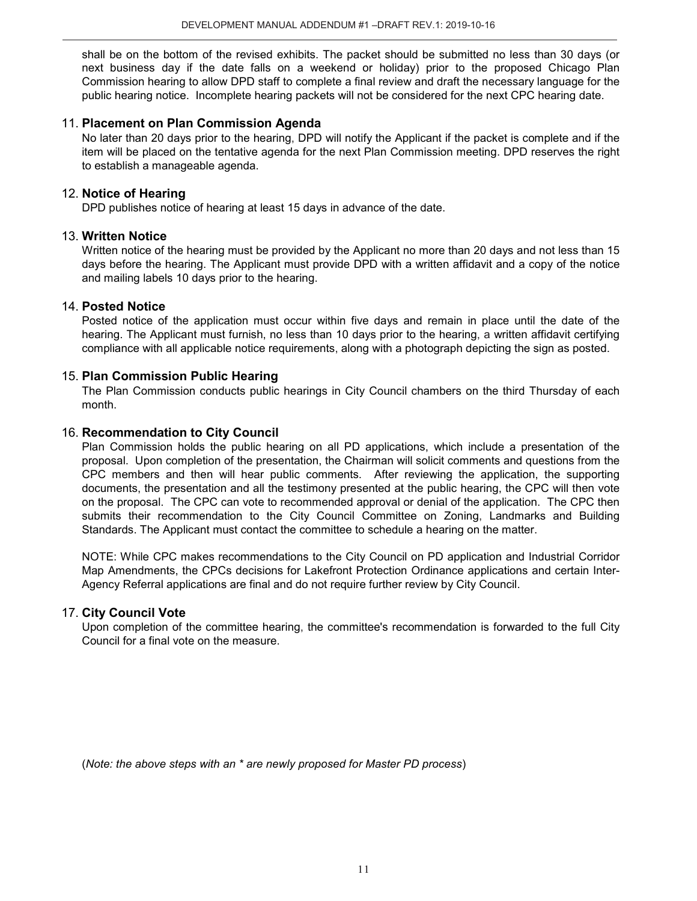shall be on the bottom of the revised exhibits. The packet should be submitted no less than 30 days (or next business day if the date falls on a weekend or holiday) prior to the proposed Chicago Plan Commission hearing to allow DPD staff to complete a final review and draft the necessary language for the public hearing notice. Incomplete hearing packets will not be considered for the next CPC hearing date.

#### 11. **Placement on Plan Commission Agenda**

No later than 20 days prior to the hearing, DPD will notify the Applicant if the packet is complete and if the item will be placed on the tentative agenda for the next Plan Commission meeting. DPD reserves the right to establish a manageable agenda.

#### 12. **Notice of Hearing**

DPD publishes notice of hearing at least 15 days in advance of the date.

#### 13. **Written Notice**

Written notice of the hearing must be provided by the Applicant no more than 20 days and not less than 15 days before the hearing. The Applicant must provide DPD with a written affidavit and a copy of the notice and mailing labels 10 days prior to the hearing.

#### 14. **Posted Notice**

Posted notice of the application must occur within five days and remain in place until the date of the hearing. The Applicant must furnish, no less than 10 days prior to the hearing, a written affidavit certifying compliance with all applicable notice requirements, along with a photograph depicting the sign as posted.

#### 15. **Plan Commission Public Hearing**

The Plan Commission conducts public hearings in City Council chambers on the third Thursday of each month.

#### 16. **Recommendation to City Council**

Plan Commission holds the public hearing on all PD applications, which include a presentation of the proposal. Upon completion of the presentation, the Chairman will solicit comments and questions from the CPC members and then will hear public comments. After reviewing the application, the supporting documents, the presentation and all the testimony presented at the public hearing, the CPC will then vote on the proposal. The CPC can vote to recommended approval or denial of the application. The CPC then submits their recommendation to the City Council Committee on Zoning, Landmarks and Building Standards. The Applicant must contact the committee to schedule a hearing on the matter.

NOTE: While CPC makes recommendations to the City Council on PD application and Industrial Corridor Map Amendments, the CPCs decisions for Lakefront Protection Ordinance applications and certain Inter-Agency Referral applications are final and do not require further review by City Council.

#### 17. **City Council Vote**

Upon completion of the committee hearing, the committee's recommendation is forwarded to the full City Council for a final vote on the measure.

(*Note: the above steps with an \* are newly proposed for Master PD process*)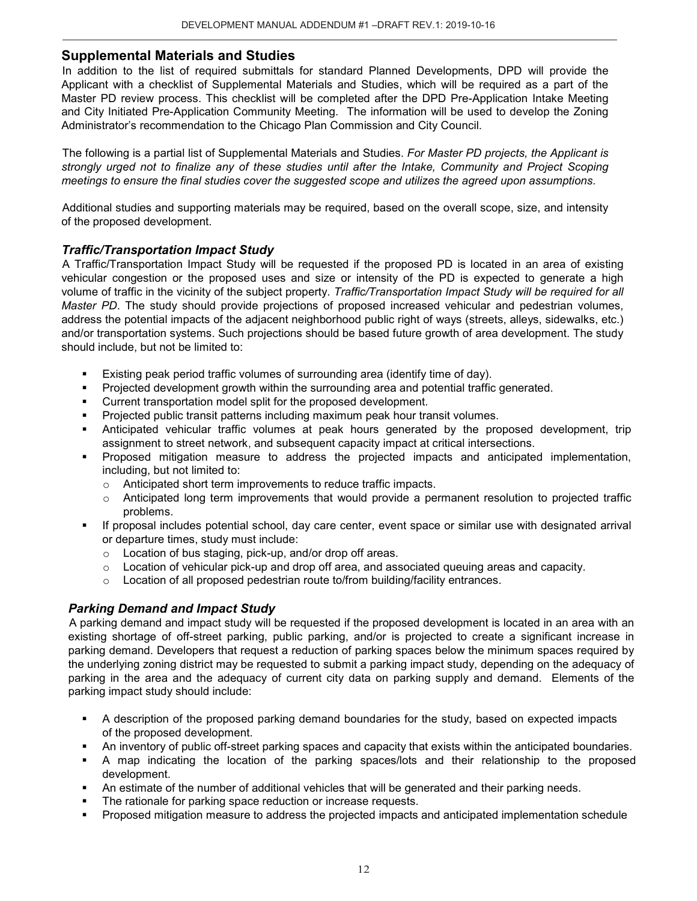# **Supplemental Materials and Studies**

In addition to the list of required submittals for standard Planned Developments, DPD will provide the Applicant with a checklist of Supplemental Materials and Studies, which will be required as a part of the Master PD review process. This checklist will be completed after the DPD Pre-Application Intake Meeting and City Initiated Pre-Application Community Meeting. The information will be used to develop the Zoning Administrator's recommendation to the Chicago Plan Commission and City Council.

The following is a partial list of Supplemental Materials and Studies. *For Master PD projects, the Applicant is strongly urged not to finalize any of these studies until after the Intake, Community and Project Scoping meetings to ensure the final studies cover the suggested scope and utilizes the agreed upon assumptions.* 

Additional studies and supporting materials may be required, based on the overall scope, size, and intensity of the proposed development.

#### *Traffic/Transportation Impact Study*

A Traffic/Transportation Impact Study will be requested if the proposed PD is located in an area of existing vehicular congestion or the proposed uses and size or intensity of the PD is expected to generate a high volume of traffic in the vicinity of the subject property. *Traffic/Transportation Impact Study will be required for all Master PD*. The study should provide projections of proposed increased vehicular and pedestrian volumes, address the potential impacts of the adjacent neighborhood public right of ways (streets, alleys, sidewalks, etc.) and/or transportation systems. Such projections should be based future growth of area development. The study should include, but not be limited to:

- Existing peak period traffic volumes of surrounding area (identify time of day).
- Projected development growth within the surrounding area and potential traffic generated.
- Current transportation model split for the proposed development.
- Projected public transit patterns including maximum peak hour transit volumes.
- Anticipated vehicular traffic volumes at peak hours generated by the proposed development, trip assignment to street network, and subsequent capacity impact at critical intersections.
- Proposed mitigation measure to address the projected impacts and anticipated implementation, including, but not limited to:
	- o Anticipated short term improvements to reduce traffic impacts.
	- $\circ$  Anticipated long term improvements that would provide a permanent resolution to projected traffic problems.
- If proposal includes potential school, day care center, event space or similar use with designated arrival or departure times, study must include:
	- o Location of bus staging, pick-up, and/or drop off areas.
	- $\circ$  Location of vehicular pick-up and drop off area, and associated queuing areas and capacity.
	- o Location of all proposed pedestrian route to/from building/facility entrances.

#### *Parking Demand and Impact Study*

A parking demand and impact study will be requested if the proposed development is located in an area with an existing shortage of off-street parking, public parking, and/or is projected to create a significant increase in parking demand. Developers that request a reduction of parking spaces below the minimum spaces required by the underlying zoning district may be requested to submit a parking impact study, depending on the adequacy of parking in the area and the adequacy of current city data on parking supply and demand. Elements of the parking impact study should include:

- A description of the proposed parking demand boundaries for the study, based on expected impacts of the proposed development.
- An inventory of public off-street parking spaces and capacity that exists within the anticipated boundaries.
- A map indicating the location of the parking spaces/lots and their relationship to the proposed development.
- An estimate of the number of additional vehicles that will be generated and their parking needs.
- The rationale for parking space reduction or increase requests.
- Proposed mitigation measure to address the projected impacts and anticipated implementation schedule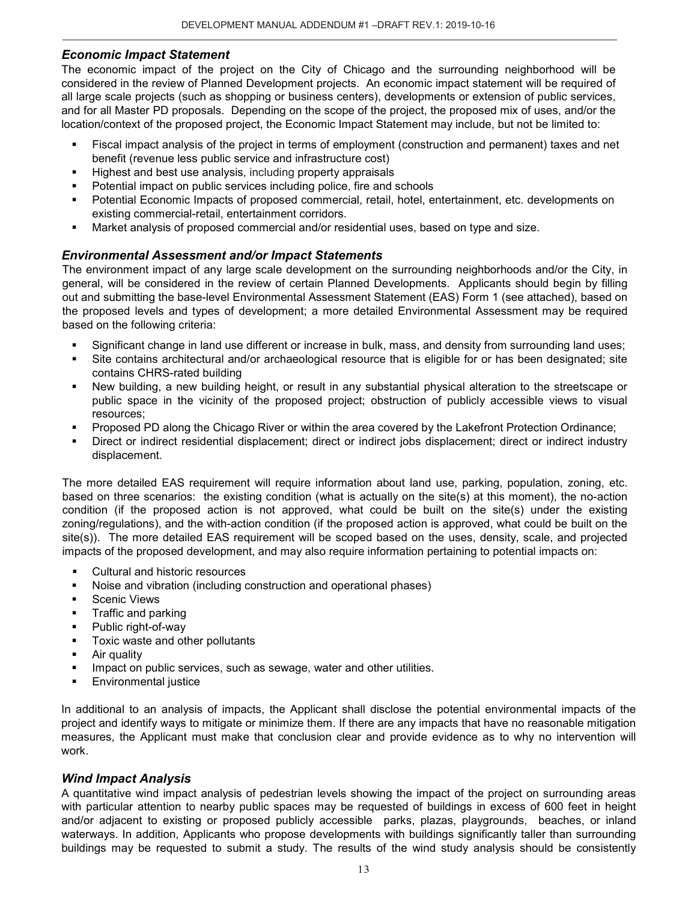#### *Economic Impact Statement*

The economic impact of the project on the City of Chicago and the surrounding neighborhood will be considered in the review of Planned Development projects. An economic impact statement will be required of all large scale projects (such as shopping or business centers), developments or extension of public services, and for all Master PD proposals. Depending on the scope of the project, the proposed mix of uses, and/or the location/context of the proposed project, the Economic Impact Statement may include, but not be limited to:

- Fiscal impact analysis of the project in terms of employment (construction and permanent) taxes and net benefit (revenue less public service and infrastructure cost)
- Highest and best use analysis, including property appraisals
- Potential impact on public services including police, fire and schools
- Potential Economic Impacts of proposed commercial, retail, hotel, entertainment, etc. developments on existing commercial-retail, entertainment corridors.
- Market analysis of proposed commercial and/or residential uses, based on type and size.

#### *Environmental Assessment and/or Impact Statements*

The environment impact of any large scale development on the surrounding neighborhoods and/or the City, in general, will be considered in the review of certain Planned Developments. Applicants should begin by filling out and submitting the base-level Environmental Assessment Statement (EAS) Form 1 (see attached), based on the proposed levels and types of development; a more detailed Environmental Assessment may be required based on the following criteria:

- Significant change in land use different or increase in bulk, mass, and density from surrounding land uses;
- Site contains architectural and/or archaeological resource that is eligible for or has been designated; site contains CHRS-rated building
- New building, a new building height, or result in any substantial physical alteration to the streetscape or public space in the vicinity of the proposed project; obstruction of publicly accessible views to visual resources;
- Proposed PD along the Chicago River or within the area covered by the Lakefront Protection Ordinance;
- Direct or indirect residential displacement; direct or indirect jobs displacement; direct or indirect industry displacement.

The more detailed EAS requirement will require information about land use, parking, population, zoning, etc. based on three scenarios: the existing condition (what is actually on the site(s) at this moment), the no-action condition (if the proposed action is not approved, what could be built on the site(s) under the existing zoning/regulations), and the with-action condition (if the proposed action is approved, what could be built on the site(s)). The more detailed EAS requirement will be scoped based on the uses, density, scale, and projected impacts of the proposed development, and may also require information pertaining to potential impacts on:

- **Cultural and historic resources**
- Noise and vibration (including construction and operational phases)
- **Scenic Views**
- Traffic and parking
- Public right-of-way
- **Toxic waste and other pollutants**
- **Air quality**
- Impact on public services, such as sewage, water and other utilities.
- Environmental justice

In additional to an analysis of impacts, the Applicant shall disclose the potential environmental impacts of the project and identify ways to mitigate or minimize them. If there are any impacts that have no reasonable mitigation measures, the Applicant must make that conclusion clear and provide evidence as to why no intervention will work.

#### *Wind Impact Analysis*

A quantitative wind impact analysis of pedestrian levels showing the impact of the project on surrounding areas with particular attention to nearby public spaces may be requested of buildings in excess of 600 feet in height and/or adjacent to existing or proposed publicly accessible parks, plazas, playgrounds, beaches, or inland waterways. In addition, Applicants who propose developments with buildings significantly taller than surrounding buildings may be requested to submit a study. The results of the wind study analysis should be consistently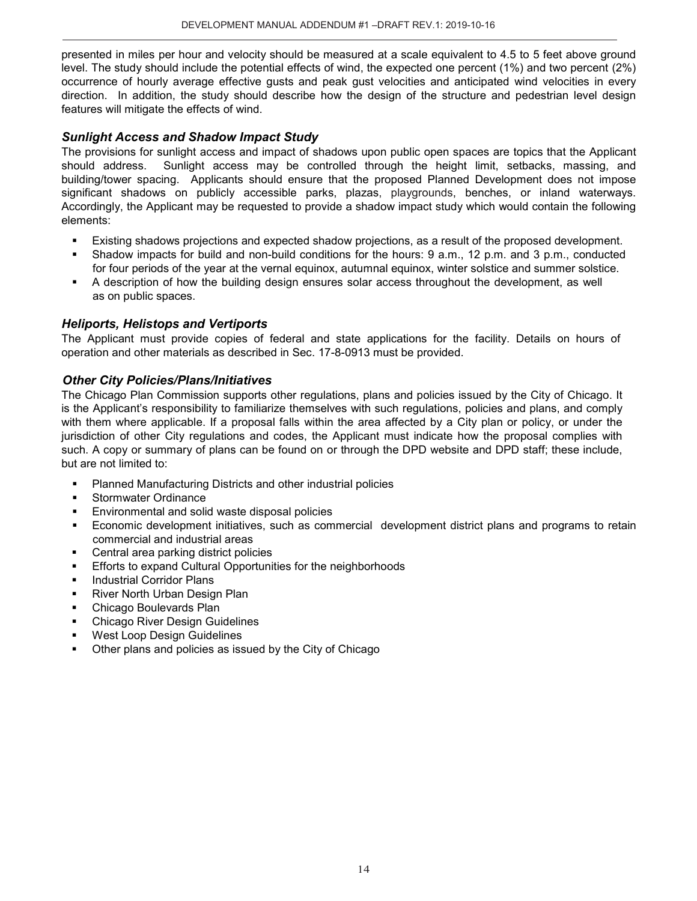presented in miles per hour and velocity should be measured at a scale equivalent to 4.5 to 5 feet above ground level. The study should include the potential effects of wind, the expected one percent (1%) and two percent (2%) occurrence of hourly average effective gusts and peak gust velocities and anticipated wind velocities in every direction. In addition, the study should describe how the design of the structure and pedestrian level design features will mitigate the effects of wind.

# *Sunlight Access and Shadow Impact Study*

The provisions for sunlight access and impact of shadows upon public open spaces are topics that the Applicant should address. Sunlight access may be controlled through the height limit, setbacks, massing, and building/tower spacing. Applicants should ensure that the proposed Planned Development does not impose significant shadows on publicly accessible parks, plazas, playgrounds, benches, or inland waterways. Accordingly, the Applicant may be requested to provide a shadow impact study which would contain the following elements:

- Existing shadows projections and expected shadow projections, as a result of the proposed development.
- Shadow impacts for build and non-build conditions for the hours: 9 a.m., 12 p.m. and 3 p.m., conducted for four periods of the year at the vernal equinox, autumnal equinox, winter solstice and summer solstice.
- A description of how the building design ensures solar access throughout the development, as well as on public spaces.

#### *Heliports, Helistops and Vertiports*

The Applicant must provide copies of federal and state applications for the facility. Details on hours of operation and other materials as described in Sec. 17-8-0913 must be provided.

# *Other City Policies/Plans/Initiatives*

The Chicago Plan Commission supports other regulations, plans and policies issued by the City of Chicago. It is the Applicant's responsibility to familiarize themselves with such regulations, policies and plans, and comply with them where applicable. If a proposal falls within the area affected by a City plan or policy, or under the jurisdiction of other City regulations and codes, the Applicant must indicate how the proposal complies with such. A copy or summary of plans can be found on or through the DPD website and DPD staff; these include, but are not limited to:

- Planned Manufacturing Districts and other industrial policies
- Stormwater Ordinance
- Environmental and solid waste disposal policies
- Economic development initiatives, such as commercial development district plans and programs to retain commercial and industrial areas
- Central area parking district policies
- **Efforts to expand Cultural Opportunities for the neighborhoods**
- Industrial Corridor Plans
- **River North Urban Design Plan**
- Chicago Boulevards Plan
- Chicago River Design Guidelines
- West Loop Design Guidelines
- Other plans and policies as issued by the City of Chicago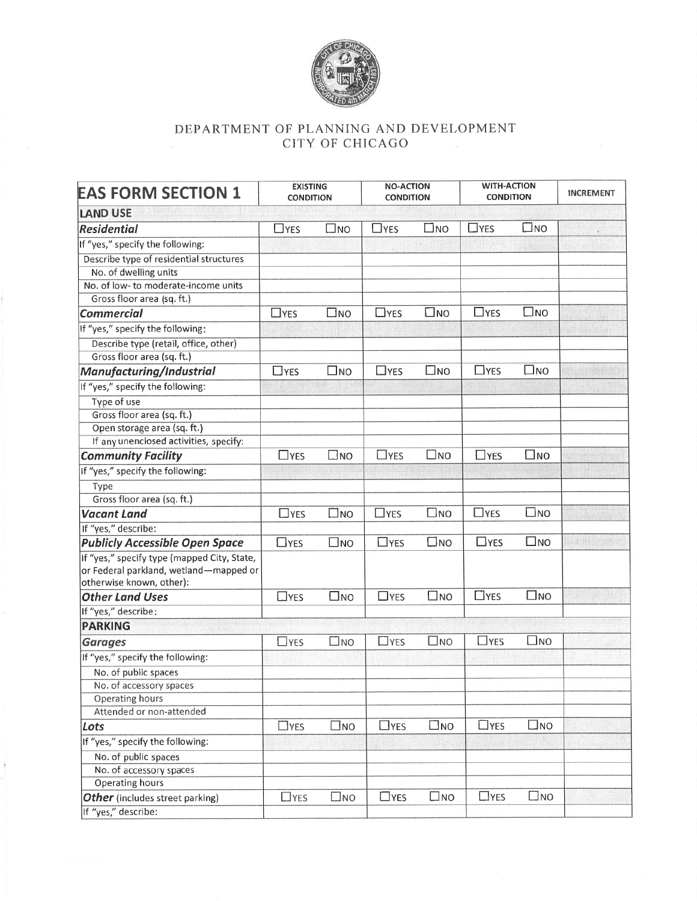

# DEPARTMENT OF PLANNING AND DEVELOPMENT CITY OF CHICAGO

| <b>EAS FORM SECTION 1</b>                                                                                         | <b>EXISTING</b><br><b>CONDITION</b> |              |            | <b>NO-ACTION</b><br><b>CONDITION</b> |               | <b>WITH-ACTION</b><br><b>CONDITION</b> |  |  |  |  |  |
|-------------------------------------------------------------------------------------------------------------------|-------------------------------------|--------------|------------|--------------------------------------|---------------|----------------------------------------|--|--|--|--|--|
| <b>LAND USE</b>                                                                                                   |                                     |              |            |                                      |               |                                        |  |  |  |  |  |
| Residential                                                                                                       | $\Box$ YES                          | $\square$ NO | $\Box$ YES | $\square$ NO                         | $\Box$ YES    | $\square$ NO                           |  |  |  |  |  |
| If "yes," specify the following:                                                                                  |                                     |              |            |                                      |               |                                        |  |  |  |  |  |
| Describe type of residential structures                                                                           |                                     |              |            |                                      |               |                                        |  |  |  |  |  |
| No. of dwelling units                                                                                             |                                     |              |            |                                      |               |                                        |  |  |  |  |  |
| No. of low- to moderate-income units                                                                              |                                     |              |            |                                      |               |                                        |  |  |  |  |  |
| Gross floor area (sq. ft.)                                                                                        |                                     |              |            |                                      |               |                                        |  |  |  |  |  |
| <b>Commercial</b>                                                                                                 | $\Box$ YES                          | $\square$ NO | $\Box$ YES | $\square$ NO                         | $\Box$ YES    | $\square$ NO                           |  |  |  |  |  |
| If "yes," specify the following:                                                                                  |                                     |              |            |                                      |               |                                        |  |  |  |  |  |
| Describe type (retail, office, other)                                                                             |                                     |              |            |                                      |               |                                        |  |  |  |  |  |
| Gross floor area (sq. ft.)                                                                                        |                                     |              |            |                                      |               |                                        |  |  |  |  |  |
| Manufacturing/Industrial                                                                                          | $\Box$ YES                          | $\square$ NO | $\Box$ YES | $\square$ NO                         | $\Box$ YES    | $\square$ NO                           |  |  |  |  |  |
| If "yes," specify the following:                                                                                  |                                     |              |            |                                      |               |                                        |  |  |  |  |  |
| Type of use                                                                                                       |                                     |              |            |                                      |               |                                        |  |  |  |  |  |
| Gross floor area (sq. ft.)                                                                                        |                                     |              |            |                                      |               |                                        |  |  |  |  |  |
| Open storage area (sq. ft.)                                                                                       |                                     |              |            |                                      |               |                                        |  |  |  |  |  |
| If any unenclosed activities, specify:                                                                            |                                     |              |            |                                      |               |                                        |  |  |  |  |  |
| <b>Community Facility</b>                                                                                         | $\Box$ YES                          | $\square$ NO | $\Box$ YES | □no                                  | $\Box$ YES    | $\square$ NO                           |  |  |  |  |  |
| If "yes," specify the following:                                                                                  |                                     |              |            |                                      |               |                                        |  |  |  |  |  |
| Type                                                                                                              |                                     |              |            |                                      |               |                                        |  |  |  |  |  |
| Gross floor area (sq. ft.)                                                                                        |                                     |              |            |                                      |               |                                        |  |  |  |  |  |
| <b>Vacant Land</b>                                                                                                | $\Box$ YES                          | □мо          | $\Box$ YES | $\square$ NO                         | $\Box$ YES    | $\square$ NO                           |  |  |  |  |  |
| If "yes," describe:                                                                                               |                                     |              |            |                                      |               |                                        |  |  |  |  |  |
| <b>Publicly Accessible Open Space</b>                                                                             | $\Box$ YES                          | $\square$ NO | $\Box$ YES | $\square$ NO                         | $\Box$ YES    | $\square$ NO                           |  |  |  |  |  |
| If "yes," specify type (mapped City, State,<br>or Federal parkland, wetland-mapped or<br>otherwise known, other): |                                     |              |            |                                      |               |                                        |  |  |  |  |  |
| <b>Other Land Uses</b>                                                                                            | $\Box$ YES                          | $\square$ NO | $\Box$ YES | $\square$ NO                         | $\Box$ YES    | $\square$ NO                           |  |  |  |  |  |
| If "yes," describe:                                                                                               |                                     |              |            |                                      |               |                                        |  |  |  |  |  |
| <b>PARKING</b>                                                                                                    |                                     |              |            |                                      |               |                                        |  |  |  |  |  |
| <b>Garages</b>                                                                                                    | $\Box$ YES                          | $\square$ NO | $\Box$ YES | $\square$ NO                         | $\Box$ YES    | $\square$ NO                           |  |  |  |  |  |
| If "yes," specify the following:                                                                                  |                                     |              |            |                                      |               |                                        |  |  |  |  |  |
| No. of public spaces                                                                                              |                                     |              |            |                                      |               |                                        |  |  |  |  |  |
| No. of accessory spaces                                                                                           |                                     |              |            |                                      |               |                                        |  |  |  |  |  |
| Operating hours                                                                                                   |                                     |              |            |                                      |               |                                        |  |  |  |  |  |
| Attended or non-attended                                                                                          |                                     |              |            |                                      |               |                                        |  |  |  |  |  |
| Lots                                                                                                              | $\Box$ YES                          | $\square$ NO | $\Box$ YES | $\square$ NO                         | $\Box$ YES    | $\square$ NO                           |  |  |  |  |  |
| If "yes," specify the following:                                                                                  |                                     |              |            |                                      |               |                                        |  |  |  |  |  |
| No. of public spaces                                                                                              |                                     |              |            |                                      |               |                                        |  |  |  |  |  |
| No. of accessory spaces                                                                                           |                                     |              |            |                                      |               |                                        |  |  |  |  |  |
| Operating hours                                                                                                   |                                     |              |            |                                      |               |                                        |  |  |  |  |  |
| Other (includes street parking)                                                                                   | $\Box$ YES                          | $\square$ NO | $\Box$ YES | $\square$ NO                         | $\square$ YES | $\square$ NO                           |  |  |  |  |  |
| If "yes," describe:                                                                                               |                                     |              |            |                                      |               |                                        |  |  |  |  |  |